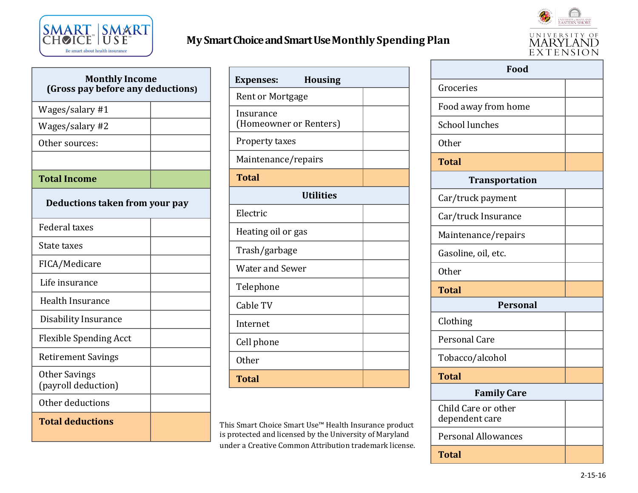

## **My Smart Choice and Smart Use Monthly Spending Plan**



| <b>Monthly Income</b><br>(Gross pay before any deductions) |  |
|------------------------------------------------------------|--|
| Wages/salary #1                                            |  |
| Wages/salary #2                                            |  |
| Other sources:                                             |  |
|                                                            |  |
| <b>Total Income</b>                                        |  |
| Deductions taken from your pay                             |  |
| <b>Federal taxes</b>                                       |  |
| State taxes                                                |  |
| FICA/Medicare                                              |  |
| Life insurance                                             |  |
| <b>Health Insurance</b>                                    |  |
| Disability Insurance                                       |  |
| <b>Flexible Spending Acct</b>                              |  |
| <b>Retirement Savings</b>                                  |  |
| <b>Other Savings</b><br>(payroll deduction)                |  |
| Other deductions                                           |  |
| <b>Total deductions</b>                                    |  |

| <b>Housing</b>                      |  |  |
|-------------------------------------|--|--|
| <b>Expenses:</b>                    |  |  |
| <b>Rent or Mortgage</b>             |  |  |
| Insurance<br>(Homeowner or Renters) |  |  |
| Property taxes                      |  |  |
| Maintenance/repairs                 |  |  |
| <b>Total</b>                        |  |  |
| <b>Utilities</b>                    |  |  |
| Electric                            |  |  |
| Heating oil or gas                  |  |  |
| Trash/garbage                       |  |  |
| <b>Water and Sewer</b>              |  |  |
| Telephone                           |  |  |
| Cable TV                            |  |  |
| Internet                            |  |  |
| Cell phone                          |  |  |
| <b>Other</b>                        |  |  |
| <b>Total</b>                        |  |  |

This Smart Choice Smart Use™ Health Insurance product is protected and licensed by the University of Maryland under a Creative Common Attribution trademark license.

| Food                                  |  |
|---------------------------------------|--|
| Groceries                             |  |
| Food away from home                   |  |
| <b>School lunches</b>                 |  |
| <b>Other</b>                          |  |
| <b>Total</b>                          |  |
| <b>Transportation</b>                 |  |
| Car/truck payment                     |  |
| Car/truck Insurance                   |  |
| Maintenance/repairs                   |  |
| Gasoline, oil, etc.                   |  |
| Other                                 |  |
| <b>Total</b>                          |  |
| <b>Personal</b>                       |  |
| Clothing                              |  |
| <b>Personal Care</b>                  |  |
| Tobacco/alcohol                       |  |
| <b>Total</b>                          |  |
| <b>Family Care</b>                    |  |
| Child Care or other<br>dependent care |  |
| <b>Personal Allowances</b>            |  |
| <b>Total</b>                          |  |